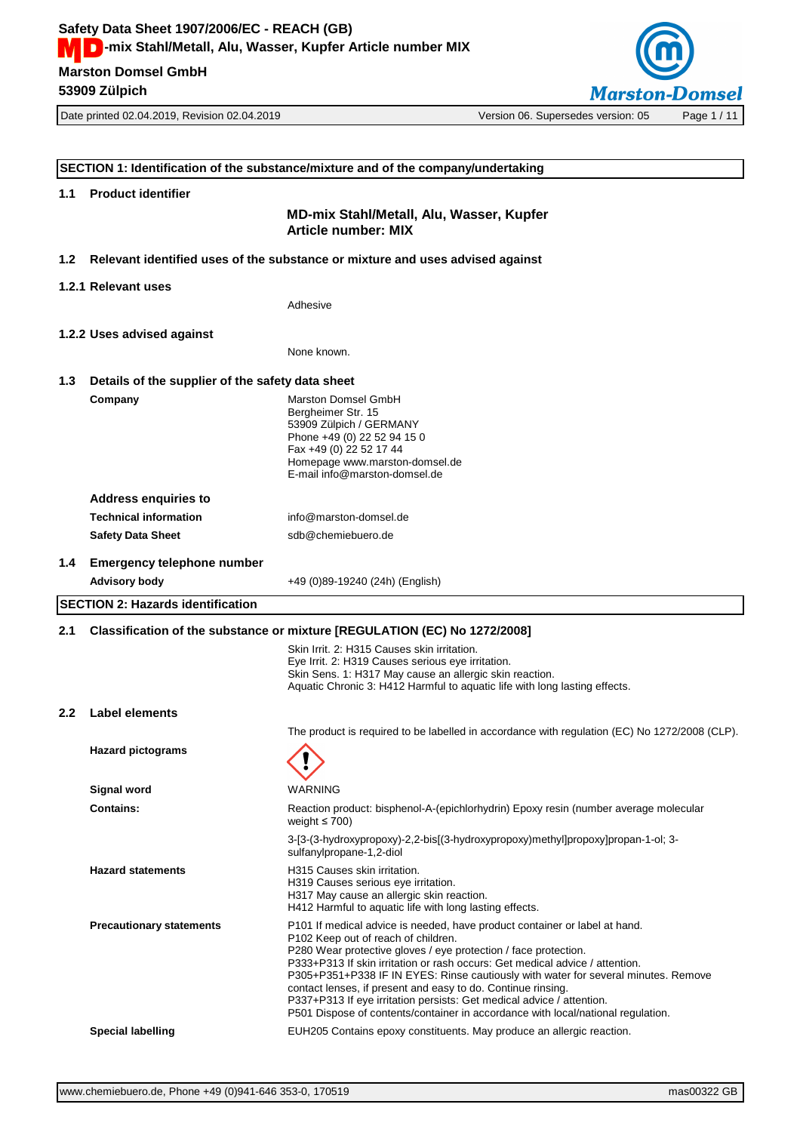**53909 Zülpich**



|                  | SECTION 1: Identification of the substance/mixture and of the company/undertaking |                                                                                                                                                                                                                                                                                                                                                                                                                                                                                                                                                                                                     |  |  |
|------------------|-----------------------------------------------------------------------------------|-----------------------------------------------------------------------------------------------------------------------------------------------------------------------------------------------------------------------------------------------------------------------------------------------------------------------------------------------------------------------------------------------------------------------------------------------------------------------------------------------------------------------------------------------------------------------------------------------------|--|--|
| 1.1              | <b>Product identifier</b>                                                         |                                                                                                                                                                                                                                                                                                                                                                                                                                                                                                                                                                                                     |  |  |
|                  |                                                                                   | MD-mix Stahl/Metall, Alu, Wasser, Kupfer<br><b>Article number: MIX</b>                                                                                                                                                                                                                                                                                                                                                                                                                                                                                                                              |  |  |
| 1.2 <sub>1</sub> |                                                                                   | Relevant identified uses of the substance or mixture and uses advised against                                                                                                                                                                                                                                                                                                                                                                                                                                                                                                                       |  |  |
|                  | 1.2.1 Relevant uses                                                               |                                                                                                                                                                                                                                                                                                                                                                                                                                                                                                                                                                                                     |  |  |
|                  |                                                                                   | Adhesive                                                                                                                                                                                                                                                                                                                                                                                                                                                                                                                                                                                            |  |  |
|                  | 1.2.2 Uses advised against                                                        |                                                                                                                                                                                                                                                                                                                                                                                                                                                                                                                                                                                                     |  |  |
|                  |                                                                                   | None known.                                                                                                                                                                                                                                                                                                                                                                                                                                                                                                                                                                                         |  |  |
| 1.3              | Details of the supplier of the safety data sheet                                  |                                                                                                                                                                                                                                                                                                                                                                                                                                                                                                                                                                                                     |  |  |
|                  | Company                                                                           | Marston Domsel GmbH<br>Bergheimer Str. 15<br>53909 Zülpich / GERMANY<br>Phone +49 (0) 22 52 94 15 0<br>Fax +49 (0) 22 52 17 44<br>Homepage www.marston-domsel.de<br>E-mail info@marston-domsel.de                                                                                                                                                                                                                                                                                                                                                                                                   |  |  |
|                  | <b>Address enquiries to</b>                                                       |                                                                                                                                                                                                                                                                                                                                                                                                                                                                                                                                                                                                     |  |  |
|                  | <b>Technical information</b>                                                      | info@marston-domsel.de                                                                                                                                                                                                                                                                                                                                                                                                                                                                                                                                                                              |  |  |
|                  | <b>Safety Data Sheet</b>                                                          | sdb@chemiebuero.de                                                                                                                                                                                                                                                                                                                                                                                                                                                                                                                                                                                  |  |  |
| 1.4              | <b>Emergency telephone number</b>                                                 |                                                                                                                                                                                                                                                                                                                                                                                                                                                                                                                                                                                                     |  |  |
|                  | <b>Advisory body</b>                                                              | +49 (0)89-19240 (24h) (English)                                                                                                                                                                                                                                                                                                                                                                                                                                                                                                                                                                     |  |  |
|                  | <b>SECTION 2: Hazards identification</b>                                          |                                                                                                                                                                                                                                                                                                                                                                                                                                                                                                                                                                                                     |  |  |
|                  |                                                                                   |                                                                                                                                                                                                                                                                                                                                                                                                                                                                                                                                                                                                     |  |  |
| 2.1              |                                                                                   | Classification of the substance or mixture [REGULATION (EC) No 1272/2008]                                                                                                                                                                                                                                                                                                                                                                                                                                                                                                                           |  |  |
|                  |                                                                                   | Skin Irrit. 2: H315 Causes skin irritation.<br>Eye Irrit. 2: H319 Causes serious eye irritation.<br>Skin Sens. 1: H317 May cause an allergic skin reaction.<br>Aquatic Chronic 3: H412 Harmful to aquatic life with long lasting effects.                                                                                                                                                                                                                                                                                                                                                           |  |  |
| $2.2\phantom{0}$ | <b>Label elements</b>                                                             |                                                                                                                                                                                                                                                                                                                                                                                                                                                                                                                                                                                                     |  |  |
|                  |                                                                                   | The product is required to be labelled in accordance with regulation (EC) No 1272/2008 (CLP).                                                                                                                                                                                                                                                                                                                                                                                                                                                                                                       |  |  |
|                  | <b>Hazard pictograms</b>                                                          |                                                                                                                                                                                                                                                                                                                                                                                                                                                                                                                                                                                                     |  |  |
|                  | <b>Signal word</b>                                                                | WARNING                                                                                                                                                                                                                                                                                                                                                                                                                                                                                                                                                                                             |  |  |
|                  | <b>Contains:</b>                                                                  | Reaction product: bisphenol-A-(epichlorhydrin) Epoxy resin (number average molecular<br>weight $\leq 700$ )                                                                                                                                                                                                                                                                                                                                                                                                                                                                                         |  |  |
|                  |                                                                                   | 3-[3-(3-hydroxypropoxy)-2,2-bis[(3-hydroxypropoxy)methyl]propoxy]propan-1-ol; 3-<br>sulfanylpropane-1,2-diol                                                                                                                                                                                                                                                                                                                                                                                                                                                                                        |  |  |
|                  | <b>Hazard statements</b>                                                          | H315 Causes skin irritation.<br>H319 Causes serious eye irritation.<br>H317 May cause an allergic skin reaction.<br>H412 Harmful to aquatic life with long lasting effects.                                                                                                                                                                                                                                                                                                                                                                                                                         |  |  |
|                  | <b>Precautionary statements</b>                                                   | P101 If medical advice is needed, have product container or label at hand.<br>P <sub>102</sub> Keep out of reach of children.<br>P280 Wear protective gloves / eye protection / face protection.<br>P333+P313 If skin irritation or rash occurs: Get medical advice / attention.<br>P305+P351+P338 IF IN EYES: Rinse cautiously with water for several minutes. Remove<br>contact lenses, if present and easy to do. Continue rinsing.<br>P337+P313 If eye irritation persists: Get medical advice / attention.<br>P501 Dispose of contents/container in accordance with local/national regulation. |  |  |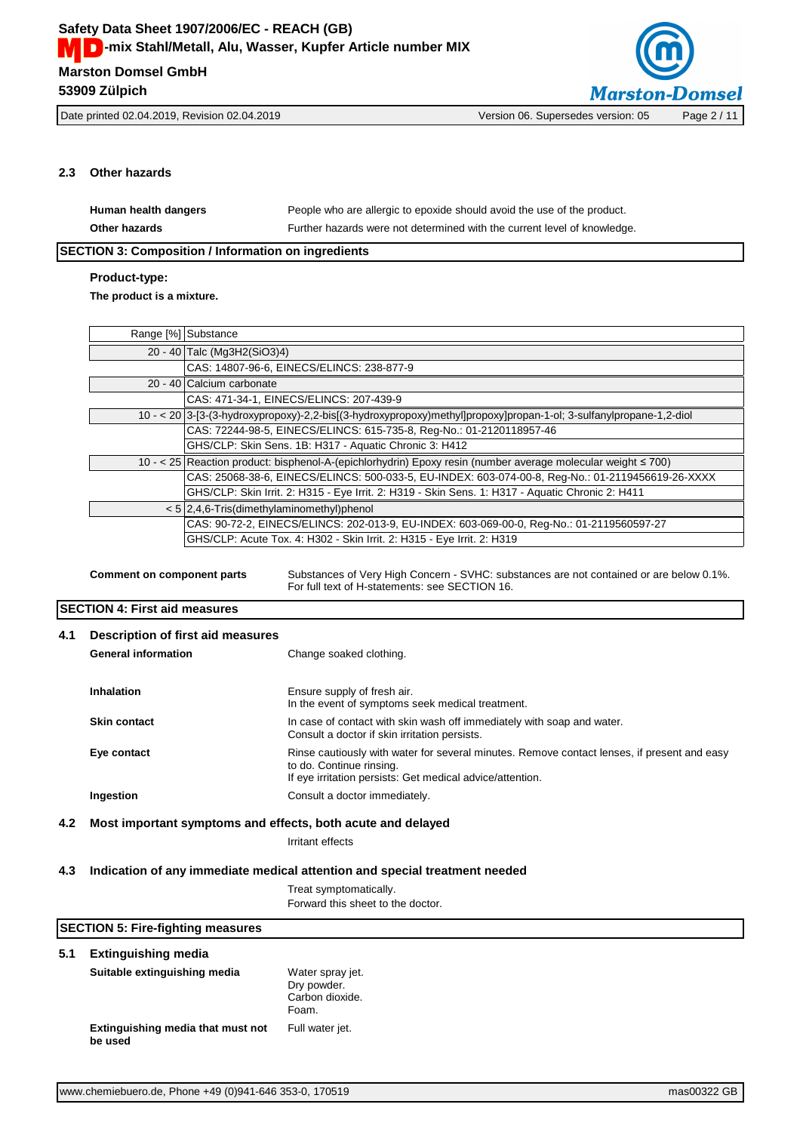

# **2.3 Other hazards**

| Human health dangers | People who are allergic to epoxide should avoid the use of the product.  |
|----------------------|--------------------------------------------------------------------------|
| <b>Other hazards</b> | Further hazards were not determined with the current level of knowledge. |

# **SECTION 3: Composition / Information on ingredients**

# **Product-type:**

**The product is a mixture.**

|                                                                                                                                                                         | Range [%] Substance                                                                                                |  |  |
|-------------------------------------------------------------------------------------------------------------------------------------------------------------------------|--------------------------------------------------------------------------------------------------------------------|--|--|
|                                                                                                                                                                         | 20 - 40 Talc (Mg3H2(SiO3)4)                                                                                        |  |  |
|                                                                                                                                                                         | CAS: 14807-96-6, EINECS/ELINCS: 238-877-9                                                                          |  |  |
|                                                                                                                                                                         | 20 - 40 Calcium carbonate                                                                                          |  |  |
|                                                                                                                                                                         | CAS: 471-34-1, EINECS/ELINCS: 207-439-9                                                                            |  |  |
|                                                                                                                                                                         | 10 - < 20 3-f3-(3-hydroxypropoxy)-2,2-bis((3-hydroxypropoxy)methyl]propoxy]propan-1-ol; 3-sulfanylpropane-1,2-diol |  |  |
|                                                                                                                                                                         | CAS: 72244-98-5, EINECS/ELINCS: 615-735-8, Req-No.: 01-2120118957-46                                               |  |  |
| GHS/CLP: Skin Sens. 1B: H317 - Aquatic Chronic 3: H412                                                                                                                  |                                                                                                                    |  |  |
| 10 - < 25 Reaction product: bisphenol-A-(epichlorhydrin) Epoxy resin (number average molecular weight ≤ 700)                                                            |                                                                                                                    |  |  |
| CAS: 25068-38-6, EINECS/ELINCS: 500-033-5, EU-INDEX: 603-074-00-8, Req-No.: 01-2119456619-26-XXXX                                                                       |                                                                                                                    |  |  |
| GHS/CLP: Skin Irrit. 2: H315 - Eye Irrit. 2: H319 - Skin Sens. 1: H317 - Aquatic Chronic 2: H411                                                                        |                                                                                                                    |  |  |
| $< 5$ 2,4,6-Tris(dimethylaminomethyl)phenol                                                                                                                             |                                                                                                                    |  |  |
| CAS: 90-72-2, EINECS/ELINCS: 202-013-9, EU-INDEX: 603-069-00-0, Req-No.: 01-2119560597-27                                                                               |                                                                                                                    |  |  |
| GHS/CLP: Acute Tox. 4: H302 - Skin Irrit. 2: H315 - Eye Irrit. 2: H319                                                                                                  |                                                                                                                    |  |  |
|                                                                                                                                                                         |                                                                                                                    |  |  |
| Substances of Very High Concern - SVHC: substances are not contained or are below 0.1%.<br>Comment on component parts<br>For full text of H-statements: see SECTION 16. |                                                                                                                    |  |  |

# **SECTION 4: First aid measures**

| 4.1 | Description of first aid measures<br><b>General information</b> | Change soaked clothing.                                                                                                                                                              |
|-----|-----------------------------------------------------------------|--------------------------------------------------------------------------------------------------------------------------------------------------------------------------------------|
|     | <b>Inhalation</b>                                               | Ensure supply of fresh air.<br>In the event of symptoms seek medical treatment.                                                                                                      |
|     | <b>Skin contact</b>                                             | In case of contact with skin wash off immediately with soap and water.<br>Consult a doctor if skin irritation persists.                                                              |
|     | Eye contact                                                     | Rinse cautiously with water for several minutes. Remove contact lenses, if present and easy<br>to do. Continue rinsing.<br>If eye irritation persists: Get medical advice/attention. |
|     | Ingestion                                                       | Consult a doctor immediately.                                                                                                                                                        |
| 4.2 | Most important symptoms and effects, both acute and delayed     |                                                                                                                                                                                      |

Irritant effects

### **4.3 Indication of any immediate medical attention and special treatment needed**

Treat symptomatically. Forward this sheet to the doctor.

|     | <b>SECTION 5: Fire-fighting measures</b>     |                                                             |  |
|-----|----------------------------------------------|-------------------------------------------------------------|--|
| 5.1 | <b>Extinguishing media</b>                   |                                                             |  |
|     | Suitable extinguishing media                 | Water spray jet.<br>Dry powder.<br>Carbon dioxide.<br>Foam. |  |
|     | Extinguishing media that must not<br>be used | Full water jet.                                             |  |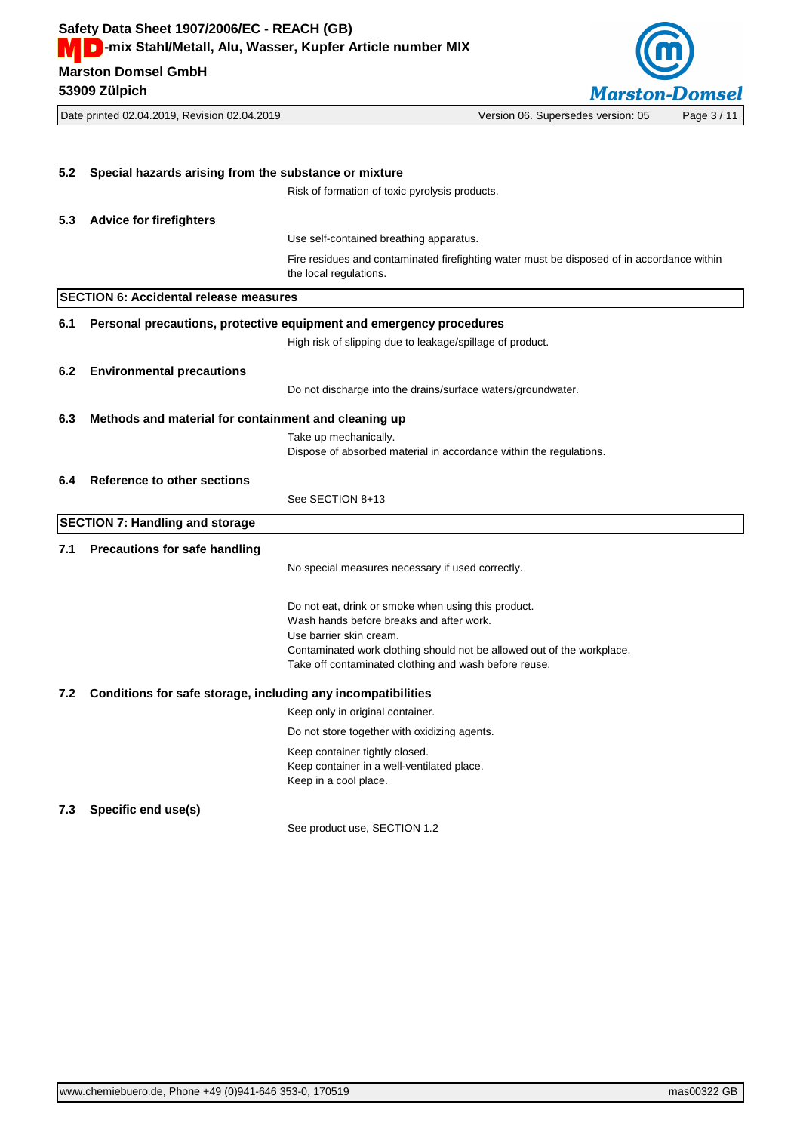**Marston Domsel GmbH Safety Data Sheet 1907/2006/EC - REACH (GB) MCC** - mix Stahl/Metall, Alu, Wasser, Kupfer Article number MIX

**53909 Zülpich**



Date printed 02.04.2019, Revision 02.04.2019 Version 06. Supersedes version: 05 Page 3 / 11

**5.2 Special hazards arising from the substance or mixture** Risk of formation of toxic pyrolysis products. **5.3 Advice for firefighters** Use self-contained breathing apparatus. Fire residues and contaminated firefighting water must be disposed of in accordance within the local regulations. **SECTION 6: Accidental release measures 6.1 Personal precautions, protective equipment and emergency procedures** High risk of slipping due to leakage/spillage of product. **6.2 Environmental precautions** Do not discharge into the drains/surface waters/groundwater. **6.3 Methods and material for containment and cleaning up** Take up mechanically. Dispose of absorbed material in accordance within the regulations. **6.4 Reference to other sections** See SECTION 8+13 **SECTION 7: Handling and storage 7.1 Precautions for safe handling** No special measures necessary if used correctly. Do not eat, drink or smoke when using this product. Wash hands before breaks and after work. Use barrier skin cream. Contaminated work clothing should not be allowed out of the workplace. Take off contaminated clothing and wash before reuse. **7.2 Conditions for safe storage, including any incompatibilities** Keep only in original container. Do not store together with oxidizing agents. Keep container tightly closed. Keep container in a well-ventilated place. Keep in a cool place. **7.3 Specific end use(s)** See product use, SECTION 1.2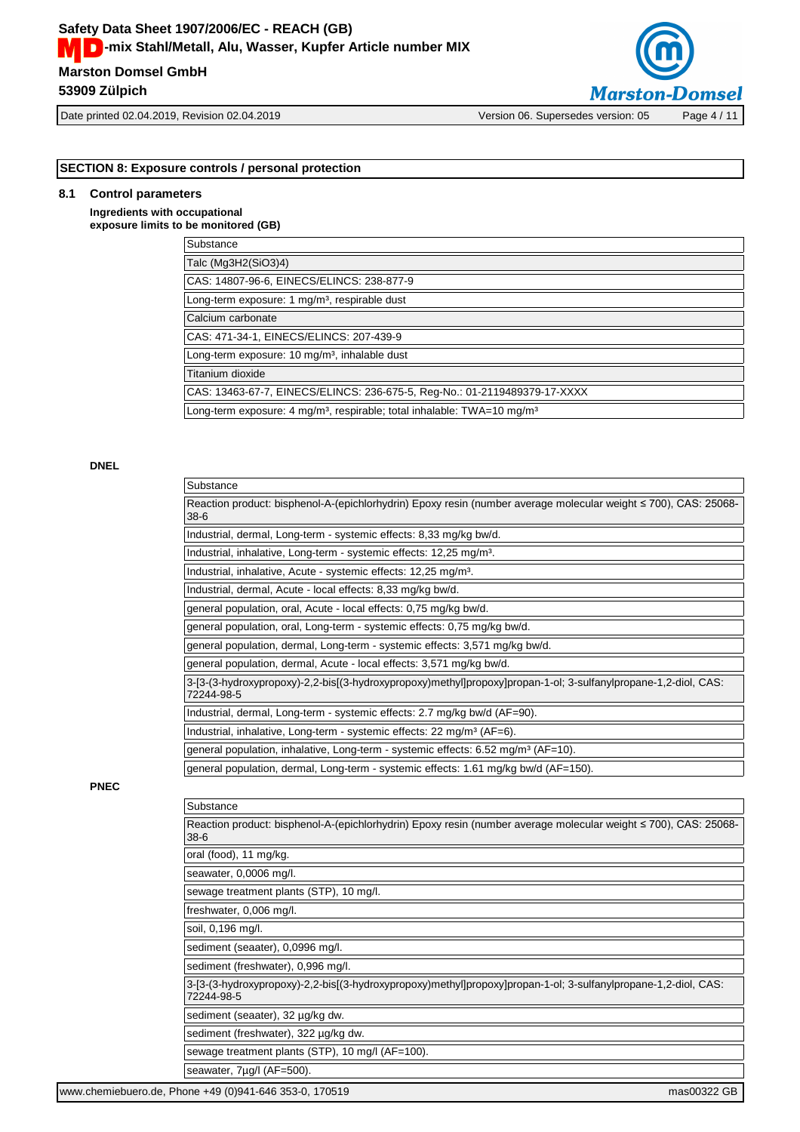# **Marston Domsel GmbH Safety Data Sheet 1907/2006/EC - REACH (GB) MCC** - mix Stahl/Metall, Alu, Wasser, Kupfer Article number MIX

**53909 Zülpich**



Date printed 02.04.2019, Revision 02.04.2019 Version 06. Supersedes version: 05 Page 4 / 11

# **SECTION 8: Exposure controls / personal protection**

# **8.1 Control parameters**

**Ingredients with occupational exposure limits to be monitored (GB)**

| Substance                                                                                       |
|-------------------------------------------------------------------------------------------------|
| Talc (Mg3H2(SiO3)4)                                                                             |
| CAS: 14807-96-6, EINECS/ELINCS: 238-877-9                                                       |
| Long-term exposure: 1 mg/m <sup>3</sup> , respirable dust                                       |
| Calcium carbonate                                                                               |
| CAS: 471-34-1, EINECS/ELINCS: 207-439-9                                                         |
| Long-term exposure: 10 mg/m <sup>3</sup> , inhalable dust                                       |
| Titanium dioxide                                                                                |
| CAS: 13463-67-7, EINECS/ELINCS: 236-675-5, Reg-No.: 01-2119489379-17-XXXX                       |
| Long-term exposure: 4 mg/m <sup>3</sup> , respirable; total inhalable: TWA=10 mg/m <sup>3</sup> |
|                                                                                                 |

# **DNEL**

|             | Substance                                                                                                                    |  |
|-------------|------------------------------------------------------------------------------------------------------------------------------|--|
|             | Reaction product: bisphenol-A-(epichlorhydrin) Epoxy resin (number average molecular weight ≤ 700), CAS: 25068-<br>$38-6$    |  |
|             | Industrial, dermal, Long-term - systemic effects: 8,33 mg/kg bw/d.                                                           |  |
|             | Industrial, inhalative, Long-term - systemic effects: 12,25 mg/m <sup>3</sup> .                                              |  |
|             | Industrial, inhalative, Acute - systemic effects: 12,25 mg/m <sup>3</sup> .                                                  |  |
|             | Industrial, dermal, Acute - local effects: 8,33 mg/kg bw/d.                                                                  |  |
|             | general population, oral, Acute - local effects: 0,75 mg/kg bw/d.                                                            |  |
|             | general population, oral, Long-term - systemic effects: 0,75 mg/kg bw/d.                                                     |  |
|             | general population, dermal, Long-term - systemic effects: 3,571 mg/kg bw/d.                                                  |  |
|             | general population, dermal, Acute - local effects: 3,571 mg/kg bw/d.                                                         |  |
|             | 3-[3-(3-hydroxypropoxy)-2,2-bis[(3-hydroxypropoxy)methyl]propoxy]propan-1-ol; 3-sulfanylpropane-1,2-diol, CAS:<br>72244-98-5 |  |
|             | Industrial, dermal, Long-term - systemic effects: 2.7 mg/kg bw/d (AF=90).                                                    |  |
|             | Industrial, inhalative, Long-term - systemic effects: 22 mg/m <sup>3</sup> (AF=6).                                           |  |
|             | general population, inhalative, Long-term - systemic effects: 6.52 mg/m <sup>3</sup> (AF=10).                                |  |
|             | general population, dermal, Long-term - systemic effects: 1.61 mg/kg bw/d (AF=150).                                          |  |
| <b>PNEC</b> |                                                                                                                              |  |
|             | Substance                                                                                                                    |  |
|             | Reaction product: bisphenol-A-(epichlorhydrin) Epoxy resin (number average molecular weight ≤ 700), CAS: 25068-<br>$38-6$    |  |
|             | oral (food), 11 mg/kg.                                                                                                       |  |
|             | seawater, 0,0006 mg/l.                                                                                                       |  |
|             | sewage treatment plants (STP), 10 mg/l.                                                                                      |  |
|             | freshwater, 0,006 mg/l.                                                                                                      |  |
|             | soil, 0,196 mg/l.                                                                                                            |  |
|             | sediment (seaater), 0,0996 mg/l.                                                                                             |  |
|             | sediment (freshwater), 0,996 mg/l.                                                                                           |  |
|             | 3-[3-(3-hydroxypropoxy)-2,2-bis[(3-hydroxypropoxy)methyl]propoxy]propan-1-ol; 3-sulfanylpropane-1,2-diol, CAS:<br>72244-98-5 |  |
|             | sediment (seaater), 32 µg/kg dw.                                                                                             |  |
|             | sediment (freshwater), 322 µg/kg dw.                                                                                         |  |
|             | sewage treatment plants (STP), 10 mg/l (AF=100).                                                                             |  |
|             | seawater, 7µg/l (AF=500).                                                                                                    |  |
|             | www.chemiebuero.de, Phone +49 (0)941-646 353-0, 170519<br>mas00322 GB                                                        |  |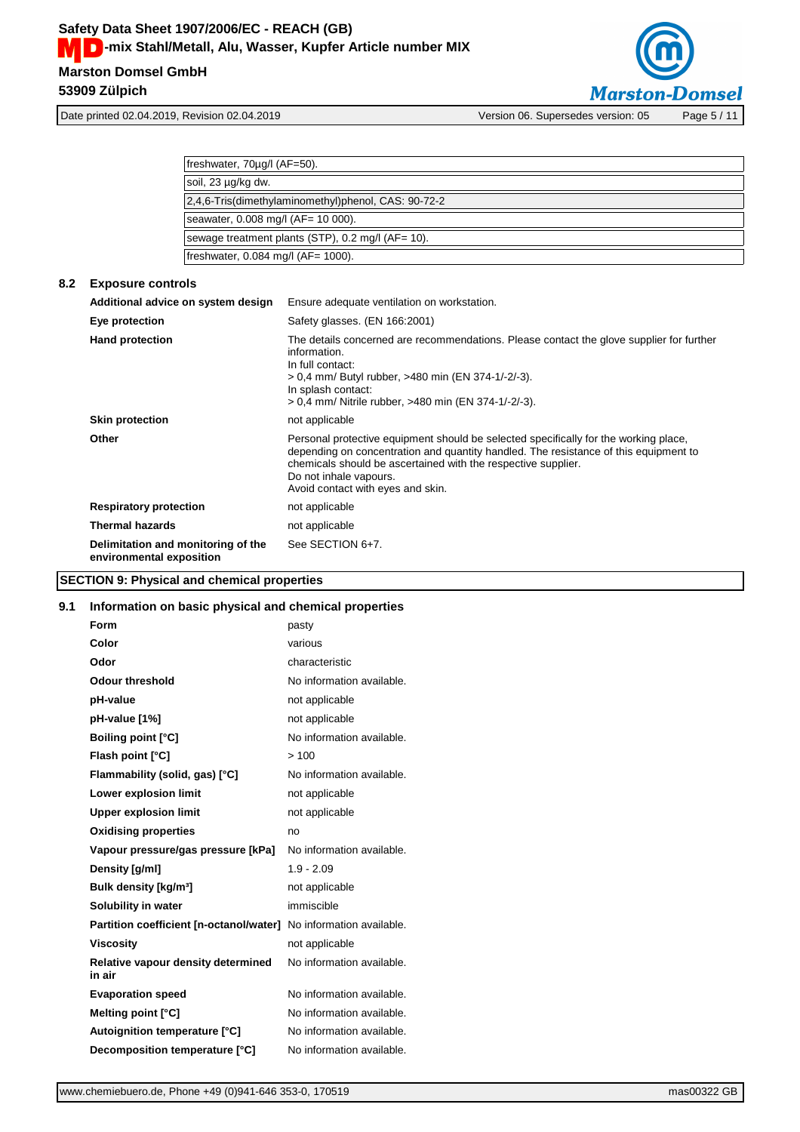

freshwater, 70µg/l (AF=50). soil, 23 µg/kg dw. 2,4,6-Tris(dimethylaminomethyl)phenol, CAS: 90-72-2 seawater, 0.008 mg/l (AF= 10 000). sewage treatment plants (STP), 0.2 mg/l (AF= 10). freshwater, 0.084 mg/l (AF= 1000).

| 8.2 | <b>Exposure controls</b>                                       |                                                                                                                                                                                                                                                                                                              |
|-----|----------------------------------------------------------------|--------------------------------------------------------------------------------------------------------------------------------------------------------------------------------------------------------------------------------------------------------------------------------------------------------------|
|     | Additional advice on system design                             | Ensure adequate ventilation on workstation.                                                                                                                                                                                                                                                                  |
|     | Eye protection                                                 | Safety glasses. (EN 166:2001)                                                                                                                                                                                                                                                                                |
|     | <b>Hand protection</b>                                         | The details concerned are recommendations. Please contact the glove supplier for further<br>information.<br>In full contact:<br>> 0,4 mm/ Butyl rubber, >480 min (EN 374-1/-2/-3).<br>In splash contact:<br>> 0.4 mm/ Nitrile rubber, >480 min (EN 374-1/-2/-3).                                             |
|     | <b>Skin protection</b>                                         | not applicable                                                                                                                                                                                                                                                                                               |
|     | Other                                                          | Personal protective equipment should be selected specifically for the working place,<br>depending on concentration and quantity handled. The resistance of this equipment to<br>chemicals should be ascertained with the respective supplier.<br>Do not inhale vapours.<br>Avoid contact with eyes and skin. |
|     | <b>Respiratory protection</b>                                  | not applicable                                                                                                                                                                                                                                                                                               |
|     | <b>Thermal hazards</b>                                         | not applicable                                                                                                                                                                                                                                                                                               |
|     | Delimitation and monitoring of the<br>environmental exposition | See SECTION 6+7.                                                                                                                                                                                                                                                                                             |

# **SECTION 9: Physical and chemical properties**

# **9.1 Information on basic physical and chemical properties**

| <b>Form</b>                                                       | pasty                     |
|-------------------------------------------------------------------|---------------------------|
| Color                                                             | various                   |
| Odor                                                              | characteristic            |
| <b>Odour threshold</b>                                            | No information available. |
| pH-value                                                          | not applicable            |
| pH-value [1%]                                                     | not applicable            |
| <b>Boiling point [°C]</b>                                         | No information available. |
| Flash point [°C]                                                  | >100                      |
| Flammability (solid, gas) [°C]                                    | No information available. |
| Lower explosion limit                                             | not applicable            |
| <b>Upper explosion limit</b>                                      | not applicable            |
| <b>Oxidising properties</b>                                       | no                        |
| Vapour pressure/gas pressure [kPa]                                | No information available. |
| Density [g/ml]                                                    | $1.9 - 2.09$              |
| Bulk density [kg/m <sup>3</sup> ]                                 | not applicable            |
| Solubility in water                                               | immiscible                |
| Partition coefficient [n-octanol/water] No information available. |                           |
| <b>Viscosity</b>                                                  | not applicable            |
| Relative vapour density determined<br>in air                      | No information available. |
| <b>Evaporation speed</b>                                          | No information available. |
| Melting point [°C]                                                | No information available. |
| Autoignition temperature [°C]                                     | No information available. |
| Decomposition temperature [°C]                                    | No information available. |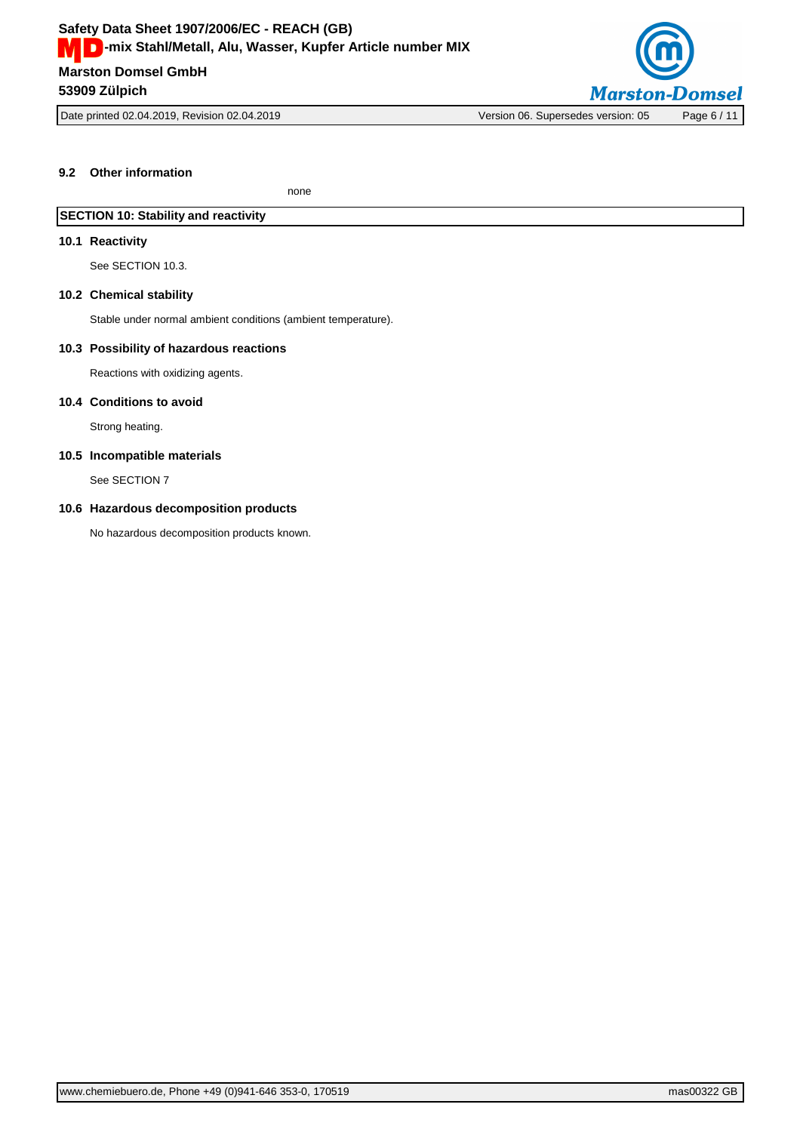

Date printed 02.04.2019, Revision 02.04.2019 Version 06. Supersedes version: 05 Page 6 / 11

# **9.2 Other information**

none

# **SECTION 10: Stability and reactivity**

# **10.1 Reactivity**

See SECTION 10.3.

## **10.2 Chemical stability**

Stable under normal ambient conditions (ambient temperature).

## **10.3 Possibility of hazardous reactions**

Reactions with oxidizing agents.

## **10.4 Conditions to avoid**

Strong heating.

## **10.5 Incompatible materials**

See SECTION 7

## **10.6 Hazardous decomposition products**

No hazardous decomposition products known.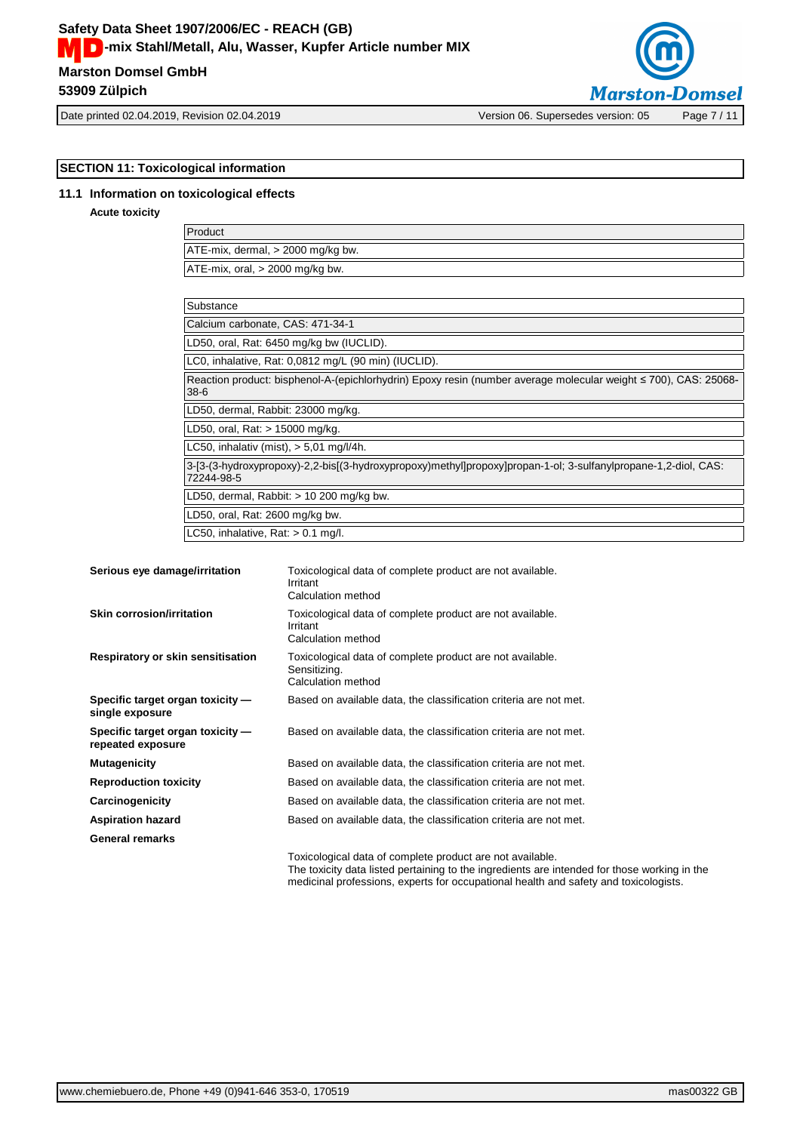# **Marston Domsel GmbH Safety Data Sheet 1907/2006/EC - REACH (GB) MCC** - mix Stahl/Metall, Alu, Wasser, Kupfer Article number MIX **53909 Zülpich**



# **SECTION 11: Toxicological information**

## **11.1 Information on toxicological effects**

## **Acute toxicity**

| Product                                |
|----------------------------------------|
| $ATE-mix$ , dermal, $> 2000$ mg/kg bw. |
| ATE-mix, oral, > 2000 mg/kg bw.        |

| Substance                                                                                                                    |
|------------------------------------------------------------------------------------------------------------------------------|
| Calcium carbonate, CAS: 471-34-1                                                                                             |
| LD50, oral, Rat: 6450 mg/kg bw (IUCLID).                                                                                     |
| LC0, inhalative, Rat: 0,0812 mg/L (90 min) (IUCLID).                                                                         |
| Reaction product: bisphenol-A-(epichlorhydrin) Epoxy resin (number average molecular weight ≤ 700), CAS: 25068-<br>$38-6$    |
| LD50, dermal, Rabbit: 23000 mg/kg.                                                                                           |
| LD50, oral, Rat: > 15000 mg/kg.                                                                                              |
| LC50, inhalativ (mist), $> 5.01$ mg/l/4h.                                                                                    |
| 3-[3-(3-hydroxypropoxy)-2,2-bis[(3-hydroxypropoxy)methyl]propoxy]propan-1-ol; 3-sulfanylpropane-1,2-diol, CAS:<br>72244-98-5 |
| LD50, dermal, Rabbit: $> 10$ 200 mg/kg bw.                                                                                   |
| LD50, oral, Rat: 2600 mg/kg bw.                                                                                              |
| LC50, inhalative, Rat: $> 0.1$ mg/l.                                                                                         |

| Serious eye damage/irritation                         | Toxicological data of complete product are not available.<br>Irritant<br>Calculation method     |
|-------------------------------------------------------|-------------------------------------------------------------------------------------------------|
| Skin corrosion/irritation                             | Toxicological data of complete product are not available.<br>Irritant<br>Calculation method     |
| Respiratory or skin sensitisation                     | Toxicological data of complete product are not available.<br>Sensitizing.<br>Calculation method |
| Specific target organ toxicity —<br>single exposure   | Based on available data, the classification criteria are not met.                               |
| Specific target organ toxicity -<br>repeated exposure | Based on available data, the classification criteria are not met.                               |
| <b>Mutagenicity</b>                                   | Based on available data, the classification criteria are not met.                               |
| <b>Reproduction toxicity</b>                          | Based on available data, the classification criteria are not met.                               |
| Carcinogenicity                                       | Based on available data, the classification criteria are not met.                               |
| <b>Aspiration hazard</b>                              | Based on available data, the classification criteria are not met.                               |
| General remarks                                       |                                                                                                 |
|                                                       |                                                                                                 |

Toxicological data of complete product are not available. The toxicity data listed pertaining to the ingredients are intended for those working in the medicinal professions, experts for occupational health and safety and toxicologists.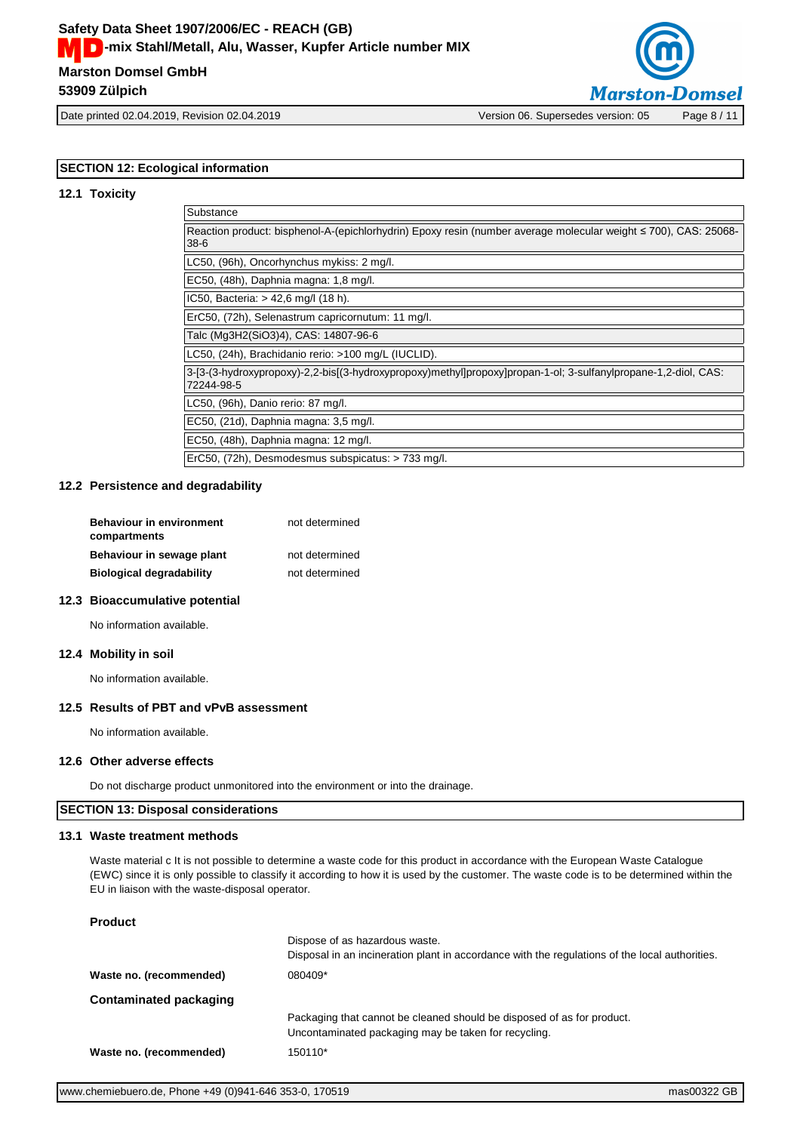

Date printed 02.04.2019, Revision 02.04.2019 Version 06. Supersedes version: 05 Page 8 / 11

# **SECTION 12: Ecological information**

## **12.1 Toxicity**

| Substance                                                                                                                    |
|------------------------------------------------------------------------------------------------------------------------------|
| Reaction product: bisphenol-A-(epichlorhydrin) Epoxy resin (number average molecular weight ≤ 700), CAS: 25068-<br>$38 - 6$  |
| LC50, (96h), Oncorhynchus mykiss: 2 mg/l.                                                                                    |
| EC50, (48h), Daphnia magna: 1,8 mg/l.                                                                                        |
| IC50, Bacteria: $> 42.6$ mg/l (18 h).                                                                                        |
| ErC50, (72h), Selenastrum capricornutum: 11 mg/l.                                                                            |
| Talc (Mg3H2(SiO3)4), CAS: 14807-96-6                                                                                         |
| LC50, (24h), Brachidanio rerio: >100 mg/L (IUCLID).                                                                          |
| 3-[3-(3-hydroxypropoxy)-2,2-bis[(3-hydroxypropoxy)methyl]propoxy]propan-1-ol; 3-sulfanylpropane-1,2-diol, CAS:<br>72244-98-5 |
| LC50, (96h), Danio rerio: 87 mg/l.                                                                                           |
| EC50, (21d), Daphnia magna: 3,5 mg/l.                                                                                        |
| EC50, (48h), Daphnia magna: 12 mg/l.                                                                                         |
| ErC50, (72h), Desmodesmus subspicatus: > 733 mg/l.                                                                           |

#### **12.2 Persistence and degradability**

| <b>Behaviour in environment</b><br>compartments | not determined |
|-------------------------------------------------|----------------|
| Behaviour in sewage plant                       | not determined |
| <b>Biological degradability</b>                 | not determined |

# **12.3 Bioaccumulative potential**

No information available.

## **12.4 Mobility in soil**

No information available.

## **12.5 Results of PBT and vPvB assessment**

No information available.

## **12.6 Other adverse effects**

Do not discharge product unmonitored into the environment or into the drainage.

# **SECTION 13: Disposal considerations**

## **13.1 Waste treatment methods**

Waste material c It is not possible to determine a waste code for this product in accordance with the European Waste Catalogue (EWC) since it is only possible to classify it according to how it is used by the customer. The waste code is to be determined within the EU in liaison with the waste-disposal operator.

# **Product**

|                         | Dispose of as hazardous waste.<br>Disposal in an incineration plant in accordance with the regulations of the local authorities. |  |
|-------------------------|----------------------------------------------------------------------------------------------------------------------------------|--|
| Waste no. (recommended) | 080409*                                                                                                                          |  |
| Contaminated packaging  |                                                                                                                                  |  |
|                         | Packaging that cannot be cleaned should be disposed of as for product.<br>Uncontaminated packaging may be taken for recycling.   |  |
| Waste no. (recommended) | 150110*                                                                                                                          |  |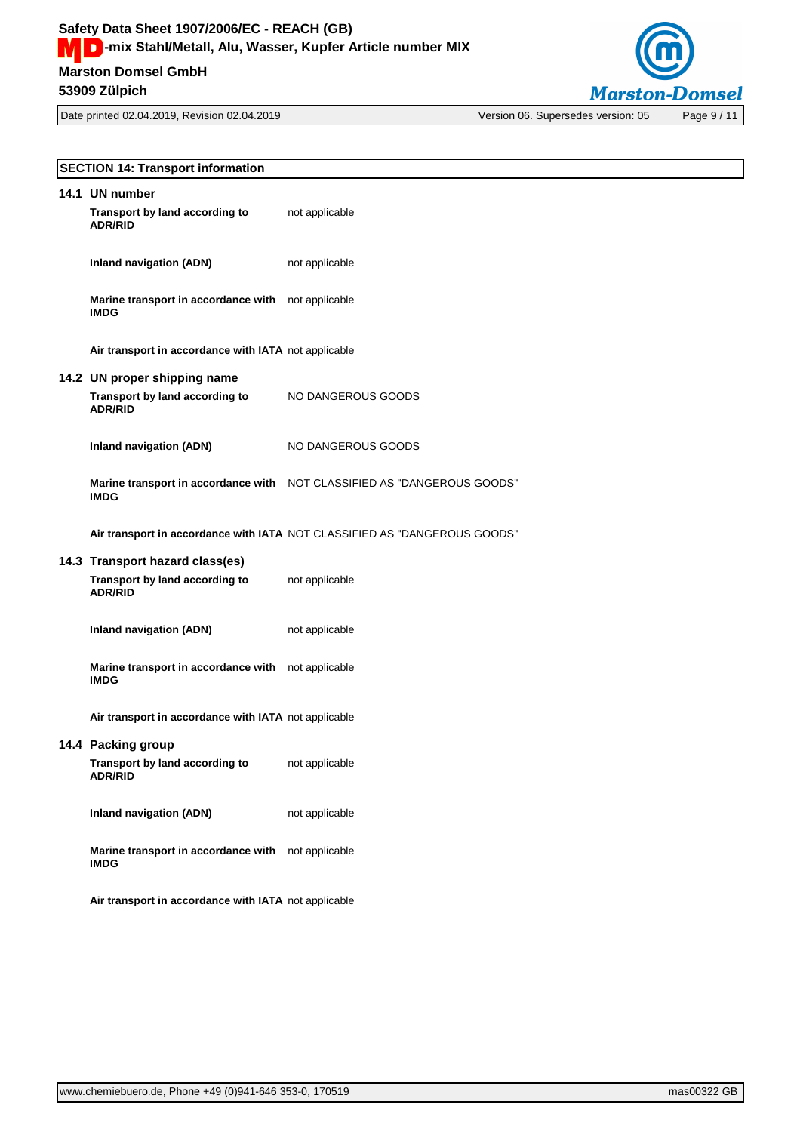

| <b>SECTION 14: Transport information</b>                          |                                                                           |  |
|-------------------------------------------------------------------|---------------------------------------------------------------------------|--|
| 14.1 UN number                                                    |                                                                           |  |
| Transport by land according to<br><b>ADR/RID</b>                  | not applicable                                                            |  |
| <b>Inland navigation (ADN)</b>                                    | not applicable                                                            |  |
| Marine transport in accordance with not applicable<br><b>IMDG</b> |                                                                           |  |
| Air transport in accordance with IATA not applicable              |                                                                           |  |
| 14.2 UN proper shipping name                                      |                                                                           |  |
| Transport by land according to<br><b>ADR/RID</b>                  | NO DANGEROUS GOODS                                                        |  |
| <b>Inland navigation (ADN)</b>                                    | NO DANGEROUS GOODS                                                        |  |
| <b>IMDG</b>                                                       | Marine transport in accordance with NOT CLASSIFIED AS "DANGEROUS GOODS"   |  |
|                                                                   | Air transport in accordance with IATA NOT CLASSIFIED AS "DANGEROUS GOODS" |  |
| 14.3 Transport hazard class(es)                                   |                                                                           |  |
| Transport by land according to<br><b>ADR/RID</b>                  | not applicable                                                            |  |
| <b>Inland navigation (ADN)</b>                                    | not applicable                                                            |  |
| Marine transport in accordance with<br><b>IMDG</b>                | not applicable                                                            |  |
| Air transport in accordance with IATA not applicable              |                                                                           |  |
| 14.4 Packing group                                                |                                                                           |  |
| Transport by land according to<br><b>ADR/RID</b>                  | not applicable                                                            |  |
| <b>Inland navigation (ADN)</b>                                    | not applicable                                                            |  |
| Marine transport in accordance with<br><b>IMDG</b>                | not applicable                                                            |  |
| Air transport in accordance with IATA not applicable              |                                                                           |  |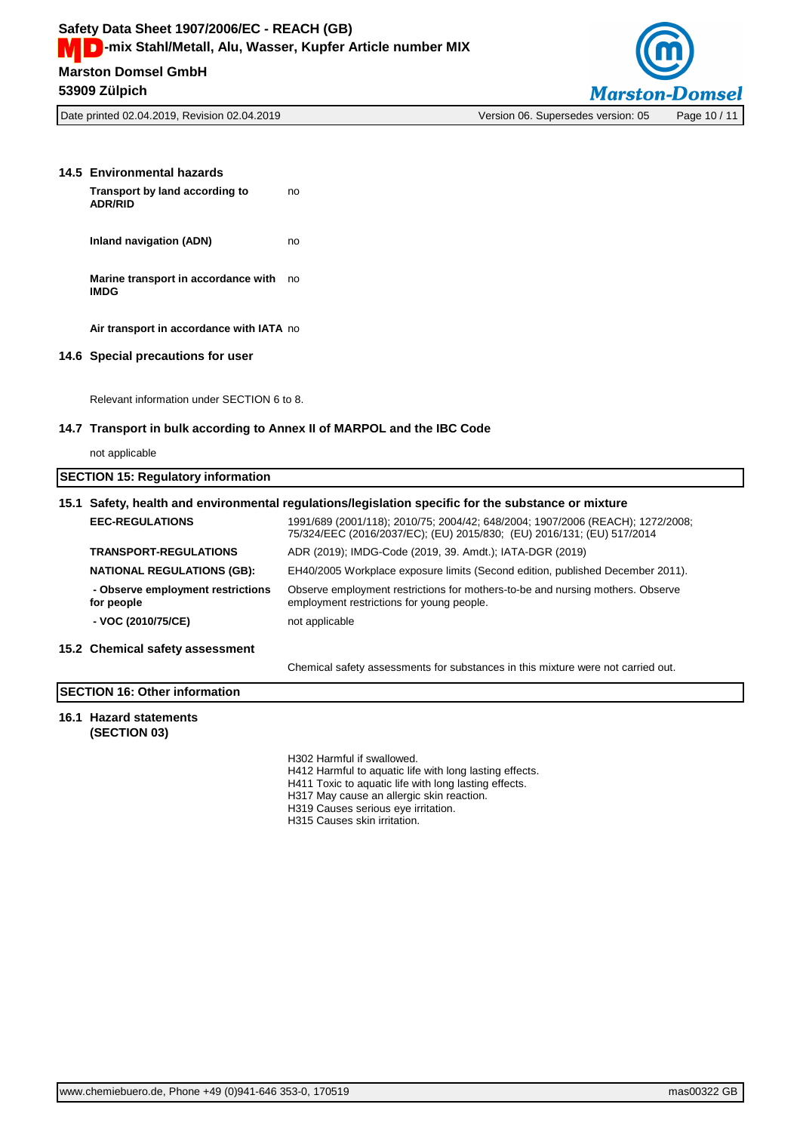

Date printed 02.04.2019, Revision 02.04.2019 Version 06. Supersedes version: 05 Page 10 / 11

| 14.5 Environmental hazards                                              |                                                                                                                                                          |  |
|-------------------------------------------------------------------------|----------------------------------------------------------------------------------------------------------------------------------------------------------|--|
| Transport by land according to<br><b>ADR/RID</b>                        | no                                                                                                                                                       |  |
| Inland navigation (ADN)                                                 | no                                                                                                                                                       |  |
| Marine transport in accordance with<br><b>IMDG</b>                      | no                                                                                                                                                       |  |
| Air transport in accordance with IATA no                                |                                                                                                                                                          |  |
| 14.6 Special precautions for user                                       |                                                                                                                                                          |  |
| Relevant information under SECTION 6 to 8.                              |                                                                                                                                                          |  |
| 14.7 Transport in bulk according to Annex II of MARPOL and the IBC Code |                                                                                                                                                          |  |
| not applicable                                                          |                                                                                                                                                          |  |
| <b>SECTION 15: Regulatory information</b>                               |                                                                                                                                                          |  |
|                                                                         | 15.1 Safety, health and environmental regulations/legislation specific for the substance or mixture                                                      |  |
| <b>EEC-REGULATIONS</b>                                                  | 1991/689 (2001/118); 2010/75; 2004/42; 648/2004; 1907/2006 (REACH); 1272/2008;<br>75/324/EEC (2016/2037/EC); (EU) 2015/830; (EU) 2016/131; (EU) 517/2014 |  |
| <b>TRANSPORT-REGULATIONS</b>                                            | ADR (2019); IMDG-Code (2019, 39. Amdt.); IATA-DGR (2019)                                                                                                 |  |
| <b>NATIONAL REGULATIONS (GB):</b>                                       | EH40/2005 Workplace exposure limits (Second edition, published December 2011).                                                                           |  |
| - Observe employment restrictions<br>for people                         | Observe employment restrictions for mothers-to-be and nursing mothers. Observe<br>employment restrictions for young people.                              |  |

**- VOC (2010/75/CE)** not applicable

**15.2 Chemical safety assessment**

**SECTION 16: Other information**

Chemical safety assessments for substances in this mixture were not carried out.

# **16.1 Hazard statements (SECTION 03)**

H302 Harmful if swallowed.

H412 Harmful to aquatic life with long lasting effects.

H411 Toxic to aquatic life with long lasting effects.

H317 May cause an allergic skin reaction.

H319 Causes serious eye irritation.

H315 Causes skin irritation.